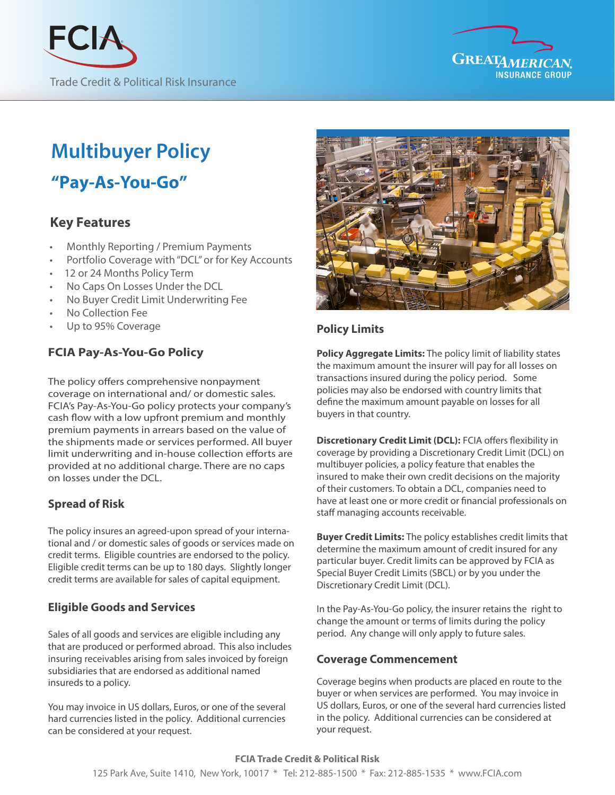



# **Multibuver Policy**

**"Pay-As-You-Go"**

## **Key Features**

- •Monthly Reporting / Premium Payments
- Portfolio Coverage with "DCL" or for Key Accounts
- 12 or 24 Months Policy Term
- No Caps On Losses Under the DCL
- No Buyer Credit Limit Underwriting Fee
- No Collection Fee
- Up to 95% Coverage

## **FCIA Pay-As-You-Go Policy**

The policy offers comprehensive nonpayment coverage on international and/ or domestic sales. FCIA's Pay-As-You-Go policy protects your company's cash flow with a low upfront premium and monthly premium payments in arrears based on the value of the shipments made or services performed. All buyer limit underwriting and in-house collection efforts are provided at no additional charge. There are no caps on losses under the DCL.

## **Spread of Risk**

The policy insures an agreed-upon spread of your international and / or domestic sales of goods or services made on credit terms. Eligible countries are endorsed to the policy. Eligible credit terms can be up to 180 days. Slightly longer credit terms are available for sales of capital equipment.

## **Eligible Goods and Services**

Sales of all goods and services are eligible including any that are produced or performed abroad. This also includes insuring receivables arising from sales invoiced by foreign subsidiaries that are endorsed as additional named insureds to a policy.

You may invoice in US dollars, Euros, or one of the several hard currencies listed in the policy. Additional currencies can be considered at your request.



## **Policy Limits**

**Policy Aggregate Limits:** The policy limit of liability states the maximum amount the insurer will pay for all losses on transactions insured during the policy period. Some policies may also be endorsed with country limits that define the maximum amount payable on losses for all buyers in that country.

**Discretionary Credit Limit (DCL):** FCIA offers flexibility in coverage by providing a Discretionary Credit Limit (DCL) on multibuyer policies, a policy feature that enables the insured to make their own credit decisions on the majority of their customers. To obtain a DCL, companies need to have at least one or more credit or financial professionals on staff managing accounts receivable.

**Buyer Credit Limits:** The policy establishes credit limits that determine the maximum amount of credit insured for any particular buyer. Credit limits can be approved by FCIA as Special Buyer Credit Limits (SBCL) or by you under the Discretionary Credit Limit (DCL).

In the Pay-As-You-Go policy, the insurer retains the right to change the amount or terms of limits during the policy period. Any change will only apply to future sales.

#### **Coverage Commencement**

Coverage begins when products are placed en route to the buyer or when services are performed. You may invoice in US dollars, Euros, or one of the several hard currencies listed in the policy. Additional currencies can be considered at your request.